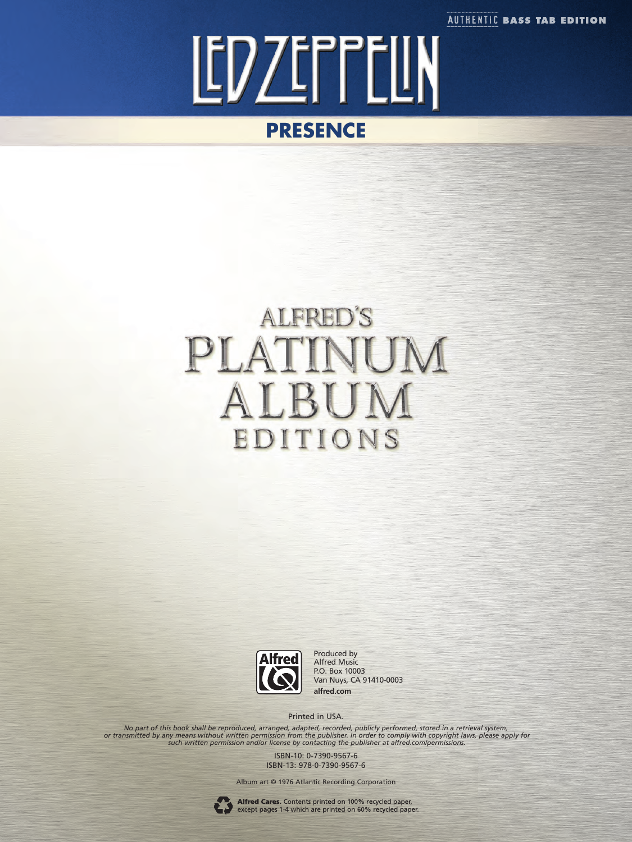**AUTHENTIC BASS TAB EDITION** 



## **ALFRED'S** PLATIN UM ALBUN EDITIONS



Produced by Alfred Music P.O. Box 10003 Van Nuys, CA 91410-0003 **alfred.com**

Printed in USA.

No part of this book shall be reproduced, arranged, adapted, recorded, publicly performed, stored in a retrieval system,<br>or transmitted by any means without written permission from the publisher. In order to comply with co

ISBN-10: 0-7390-9567-6 ISBN-13: 978-0-7390-9567-6

Album art © 1976 Atlantic Recording Corporation



Alfred Cares. Contents printed on 100% recycled paper,<br>except pages 1-4 which are printed on 60% recycled paper.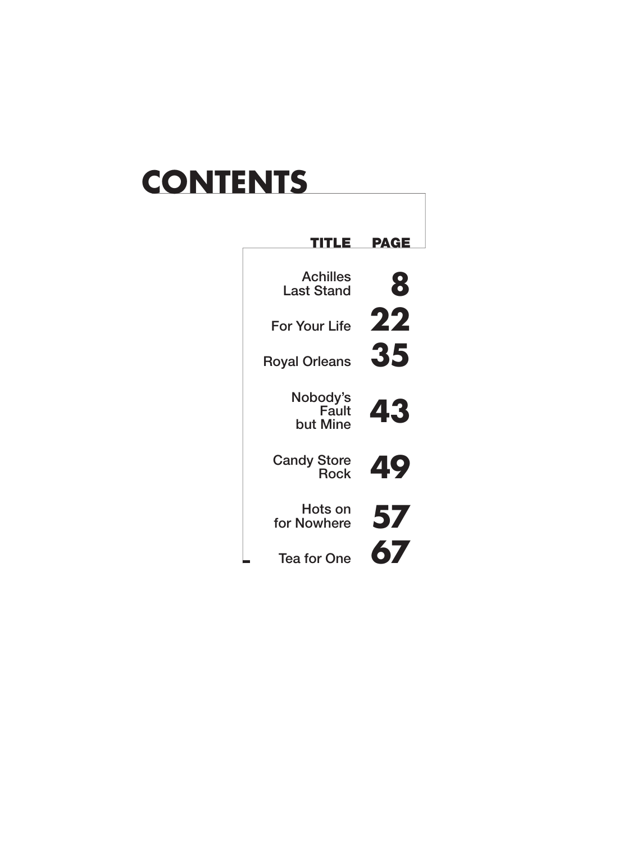# **CONTENTS**

| ш                                    | PAGE |
|--------------------------------------|------|
| <b>Achilles</b><br><b>Last Stand</b> | 8    |
| <b>For Your Life</b>                 | 22   |
| <b>Royal Orleans</b>                 | 35   |
| Nobody's<br>Fault<br>but Mine        | 43   |
| <b>Candy Store</b><br><b>Rock</b>    | 49   |
| Hots on<br>for Nowhere               | 57   |
| <b>Tea for One</b>                   | 67   |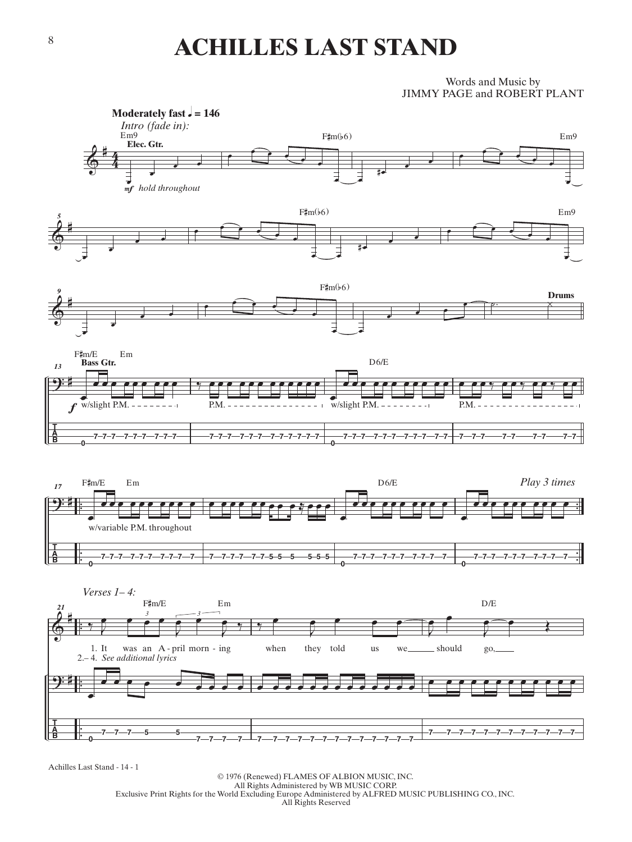### **ACHILLES LAST STAND**

#### Words and Music by JIMMY PAGE and ROBERT PLANT



Achilles Last Stand - 14 - 1

© 1976 (Renewed) FLAMES OF ALBION MUSIC, INC. All Rights Administered by WB MUSIC CORP. Exclusive Print Rights for the World Excluding Europe Administered by ALFRED MUSIC PUBLISHING CO., INC. All Rights Reserved